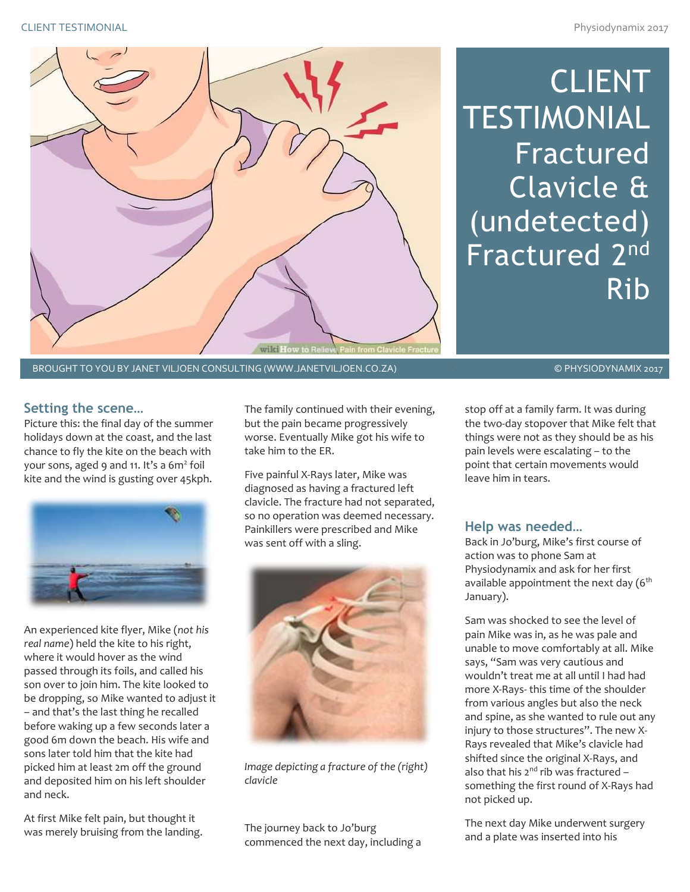

CLIENT **TESTIMONIAL** Fractured Clavicle & (undetected) Fractured 2<sup>nd</sup> Rib

BROUGHT TO YOU BY JANET VILJOEN CONSULTING (WWW.JANETVILJOEN.CO.ZA) © © PHYSIODYNAMIX 2017

## **Setting the scene…**

Picture this: the final day of the summer holidays down at the coast, and the last chance to fly the kite on the beach with your sons, aged 9 and 11. It's a 6m<sup>2</sup> foil kite and the wind is gusting over 45kph.



An experienced kite flyer, Mike (*not his real name*) held the kite to his right, where it would hover as the wind passed through its foils, and called his son over to join him. The kite looked to be dropping, so Mike wanted to adjust it – and that's the last thing he recalled before waking up a few seconds later a good 6m down the beach. His wife and sons later told him that the kite had picked him at least 2m off the ground and deposited him on his left shoulder and neck.

At first Mike felt pain, but thought it was merely bruising from the landing. The family continued with their evening, but the pain became progressively worse. Eventually Mike got his wife to take him to the ER.

Five painful X-Rays later, Mike was diagnosed as having a fractured left clavicle. The fracture had not separated, so no operation was deemed necessary. Painkillers were prescribed and Mike was sent off with a sling.



*Image depicting a fracture of the (right) clavicle*

The journey back to Jo'burg commenced the next day, including a

stop off at a family farm. It was during the two-day stopover that Mike felt that things were not as they should be as his pain levels were escalating – to the point that certain movements would leave him in tears.

### **Help was needed…**

Back in Jo'burg, Mike's first course of action was to phone Sam at Physiodynamix and ask for her first available appointment the next day  $(6<sup>th</sup>$ January).

Sam was shocked to see the level of pain Mike was in, as he was pale and unable to move comfortably at all. Mike says, "Sam was very cautious and wouldn't treat me at all until I had had more X-Rays- this time of the shoulder from various angles but also the neck and spine, as she wanted to rule out any injury to those structures". The new X-Rays revealed that Mike's clavicle had shifted since the original X-Rays, and also that his  $2^{nd}$  rib was fractured something the first round of X-Rays had not picked up.

The next day Mike underwent surgery and a plate was inserted into his